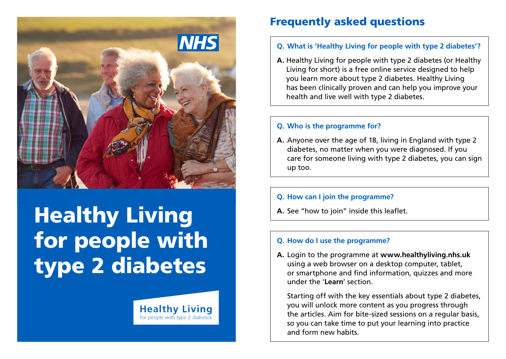

# Healthy Living for people with type 2 diabetes

**Healthy Living** for people with type 2 diabetes

Frequently asked questions

- **Q. What is 'Healthy Living for people with type 2 diabetes'?**
- **A.** Healthy Living for people with type 2 diabetes (or Healthy Living for short) is a free online service designed to help you learn more about type 2 diabetes. Healthy Living has been clinically proven and can help you improve your health and live well with type 2 diabetes.

#### **Q. Who is the programme for?**

**A.** Anyone over the age of 18, living in England with type 2 diabetes, no matter when you were diagnosed. If you care for someone living with type 2 diabetes, you can sign up too.

#### **Q. How can I join the programme?**

**A.** See "how to join" inside this leaflet.

#### **Q. How do I use the programme?**

**A.** Login to the programme at **[www.healthyliving.nhs.uk](https://healthyliving.nhs.uk/)** using a web browser on a desktop computer, tablet, or smartphone and find information, quizzes and more under the '**Learn**' section.

 Starting off with the key essentials about type 2 diabetes, you will unlock more content as you progress through the articles. Aim for bite-sized sessions on a regular basis, so you can take time to put your learning into practice and form new habits.